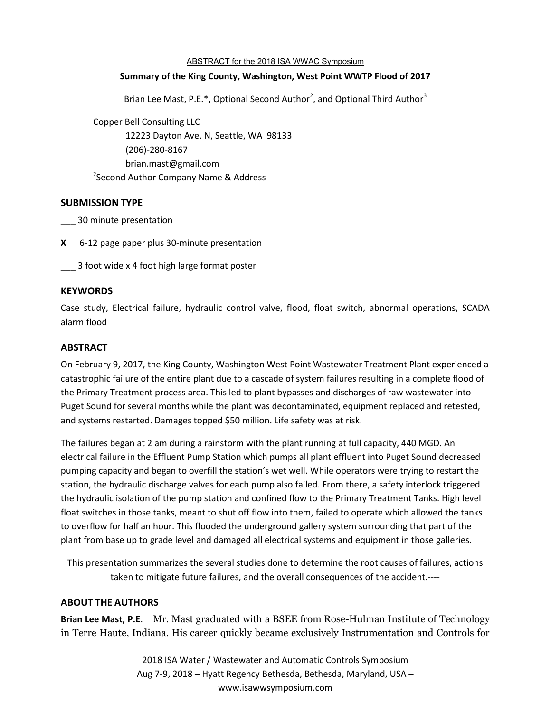#### ABSTRACT for the 2018 ISA WWAC Symposium

#### **Summary of the King County, Washington, West Point WWTP Flood of 2017**

Brian Lee Mast, P.E.\*, Optional Second Author<sup>2</sup>, and Optional Third Author<sup>3</sup>

Copper Bell Consulting LLC

12223 Dayton Ave. N, Seattle, WA 98133 (206)-280-8167 brian.mast@gmail.com <sup>2</sup>Second Author Company Name & Address

# **SUBMISSION TYPE**

\_\_\_ 30 minute presentation

**X** 6-12 page paper plus 30-minute presentation

\_\_\_ 3 foot wide x 4 foot high large format poster

# **KEYWORDS**

Case study, Electrical failure, hydraulic control valve, flood, float switch, abnormal operations, SCADA alarm flood

# **ABSTRACT**

On February 9, 2017, the King County, Washington West Point Wastewater Treatment Plant experienced a catastrophic failure of the entire plant due to a cascade of system failures resulting in a complete flood of the Primary Treatment process area. This led to plant bypasses and discharges of raw wastewater into Puget Sound for several months while the plant was decontaminated, equipment replaced and retested, and systems restarted. Damages topped \$50 million. Life safety was at risk.

The failures began at 2 am during a rainstorm with the plant running at full capacity, 440 MGD. An electrical failure in the Effluent Pump Station which pumps all plant effluent into Puget Sound decreased pumping capacity and began to overfill the station's wet well. While operators were trying to restart the station, the hydraulic discharge valves for each pump also failed. From there, a safety interlock triggered the hydraulic isolation of the pump station and confined flow to the Primary Treatment Tanks. High level float switches in those tanks, meant to shut off flow into them, failed to operate which allowed the tanks to overflow for half an hour. This flooded the underground gallery system surrounding that part of the plant from base up to grade level and damaged all electrical systems and equipment in those galleries.

This presentation summarizes the several studies done to determine the root causes of failures, actions taken to mitigate future failures, and the overall consequences of the accident.----

#### **ABOUT THE AUTHORS**

**Brian Lee Mast, P.E**. Mr. Mast graduated with a BSEE from Rose-Hulman Institute of Technology in Terre Haute, Indiana. His career quickly became exclusively Instrumentation and Controls for

> 2018 ISA Water / Wastewater and Automatic Controls Symposium Aug 7-9, 2018 – Hyatt Regency Bethesda, Bethesda, Maryland, USA – www.isawwsymposium.com